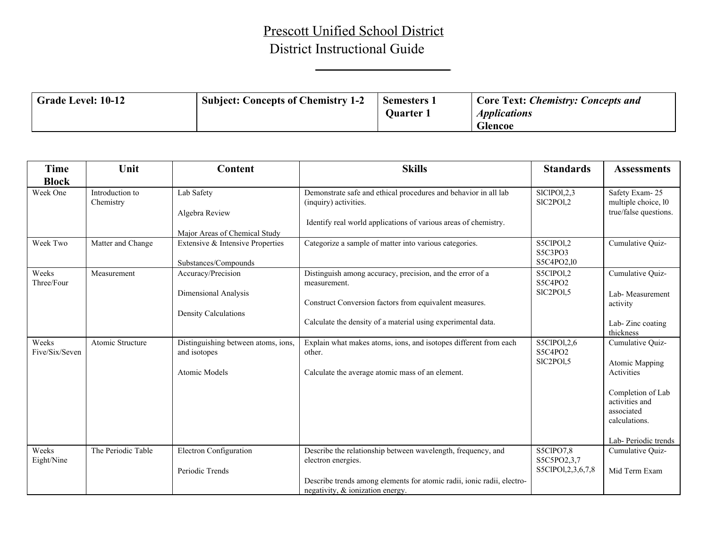## Prescott Unified School District District Instructional Guide

| <b>Time</b>             | Unit                         | <b>Content</b>                                           | <b>Skills</b>                                                                                                 | <b>Standards</b>                   | <b>Assessments</b>                    |
|-------------------------|------------------------------|----------------------------------------------------------|---------------------------------------------------------------------------------------------------------------|------------------------------------|---------------------------------------|
| <b>Block</b>            |                              |                                                          |                                                                                                               |                                    |                                       |
| Week One                | Introduction to<br>Chemistry | Lab Safety                                               | Demonstrate safe and ethical procedures and behavior in all lab<br>(inquiry) activities.                      | SICIPOI, 2,3<br>SIC2POI,2          | Safety Exam-25<br>multiple choice, 10 |
|                         |                              | Algebra Review                                           | Identify real world applications of various areas of chemistry.                                               |                                    | true/false questions.                 |
|                         |                              | Major Areas of Chemical Study                            |                                                                                                               |                                    |                                       |
| Week Two                | Matter and Change            | Extensive & Intensive Properties<br>Substances/Compounds | Categorize a sample of matter into various categories.                                                        | S5ClPOl,2<br>S5C3PO3<br>S5C4PO2,10 | Cumulative Quiz-                      |
| Weeks<br>Three/Four     | Measurement                  | Accuracy/Precision                                       | Distinguish among accuracy, precision, and the error of a<br>measurement.                                     | S5ClPOl,2<br>S5C4PO2               | Cumulative Quiz-                      |
|                         |                              | Dimensional Analysis                                     |                                                                                                               | SIC2POI,5                          | Lab-Measurement                       |
|                         |                              | Density Calculations                                     | Construct Conversion factors from equivalent measures.                                                        |                                    | activity                              |
|                         |                              |                                                          | Calculate the density of a material using experimental data.                                                  |                                    | Lab-Zinc coating<br>thickness         |
| Weeks<br>Five/Six/Seven | Atomic Structure             | Distinguishing between atoms, ions,<br>and isotopes      | Explain what makes atoms, ions, and isotopes different from each<br>other.                                    | S5ClPOl, 2,6<br>S5C4PO2            | Cumulative Quiz-                      |
|                         |                              | <b>Atomic Models</b>                                     | Calculate the average atomic mass of an element.                                                              | SIC2POI,5                          | <b>Atomic Mapping</b><br>Activities   |
|                         |                              |                                                          |                                                                                                               |                                    |                                       |
|                         |                              |                                                          |                                                                                                               |                                    | Completion of Lab<br>activities and   |
|                         |                              |                                                          |                                                                                                               |                                    | associated                            |
|                         |                              |                                                          |                                                                                                               |                                    | calculations.                         |
|                         |                              |                                                          |                                                                                                               |                                    | Lab-Periodic trends                   |
| Weeks<br>Eight/Nine     | The Periodic Table           | <b>Electron Configuration</b>                            | Describe the relationship between wavelength, frequency, and<br>electron energies.                            | S5ClPO7,8<br>S5C5PO2,3,7           | Cumulative Quiz-                      |
|                         |                              | Periodic Trends                                          |                                                                                                               | S5ClPOl, 2, 3, 6, 7, 8             | Mid Term Exam                         |
|                         |                              |                                                          | Describe trends among elements for atomic radii, ionic radii, electro-<br>negativity, $\&$ ionization energy. |                                    |                                       |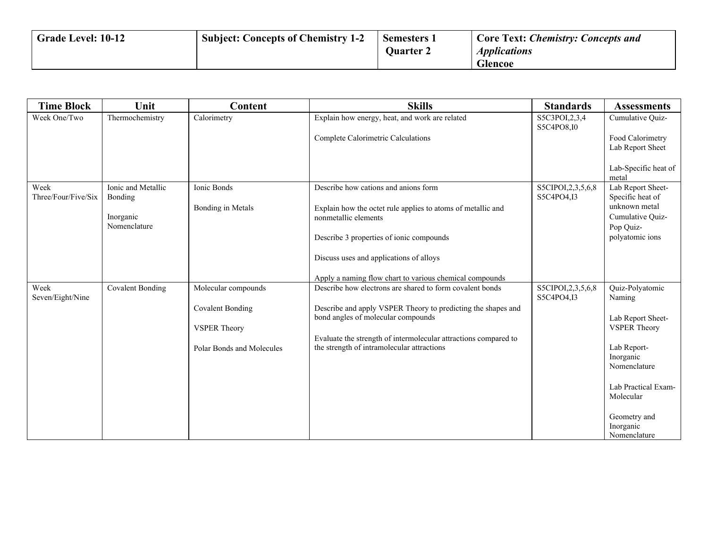| Grade Level: 10-12 | <b>Subject: Concepts of Chemistry 1-2</b> | Semesters 1<br><b>Ouarter 2</b> | <b>Core Text: Chemistry: Concepts and</b><br><i><b>Applications</b></i> |
|--------------------|-------------------------------------------|---------------------------------|-------------------------------------------------------------------------|
|                    |                                           |                                 | <b>Glencoe</b>                                                          |

| <b>Time Block</b>           | Unit                          | <b>Content</b>            | <b>Skills</b>                                                                                                 | <b>Standards</b>                     | <b>Assessments</b>                             |
|-----------------------------|-------------------------------|---------------------------|---------------------------------------------------------------------------------------------------------------|--------------------------------------|------------------------------------------------|
| Week One/Two                | Thermochemistry               | Calorimetry               | Explain how energy, heat, and work are related                                                                | S5C3POI, 2, 3, 4<br>S5C4PO8,I0       | Cumulative Quiz-                               |
|                             |                               |                           | Complete Calorimetric Calculations                                                                            |                                      | Food Calorimetry<br>Lab Report Sheet           |
|                             |                               |                           |                                                                                                               |                                      | Lab-Specific heat of<br>metal                  |
| Week<br>Three/Four/Five/Six | Ionic and Metallic<br>Bonding | Ionic Bonds               | Describe how cations and anions form                                                                          | S5CIPOI, 2, 3, 5, 6, 8<br>S5C4PO4,I3 | Lab Report Sheet-<br>Specific heat of          |
|                             | Inorganic<br>Nomenclature     | Bonding in Metals         | Explain how the octet rule applies to atoms of metallic and<br>nonmetallic elements                           |                                      | unknown metal<br>Cumulative Quiz-<br>Pop Quiz- |
|                             |                               |                           | Describe 3 properties of ionic compounds                                                                      |                                      | polyatomic ions                                |
|                             |                               |                           | Discuss uses and applications of alloys                                                                       |                                      |                                                |
|                             |                               |                           | Apply a naming flow chart to various chemical compounds                                                       |                                      |                                                |
| Week<br>Seven/Eight/Nine    | <b>Covalent Bonding</b>       | Molecular compounds       | Describe how electrons are shared to form covalent bonds                                                      | S5CIPOI, 2, 3, 5, 6, 8<br>S5C4PO4,I3 | Quiz-Polyatomic<br>Naming                      |
|                             |                               | <b>Covalent Bonding</b>   | Describe and apply VSPER Theory to predicting the shapes and<br>bond angles of molecular compounds            |                                      | Lab Report Sheet-                              |
|                             |                               | <b>VSPER Theory</b>       |                                                                                                               |                                      | <b>VSPER Theory</b>                            |
|                             |                               | Polar Bonds and Molecules | Evaluate the strength of intermolecular attractions compared to<br>the strength of intramolecular attractions |                                      | Lab Report-<br>Inorganic<br>Nomenclature       |
|                             |                               |                           |                                                                                                               |                                      | Lab Practical Exam-<br>Molecular               |
|                             |                               |                           |                                                                                                               |                                      | Geometry and<br>Inorganic<br>Nomenclature      |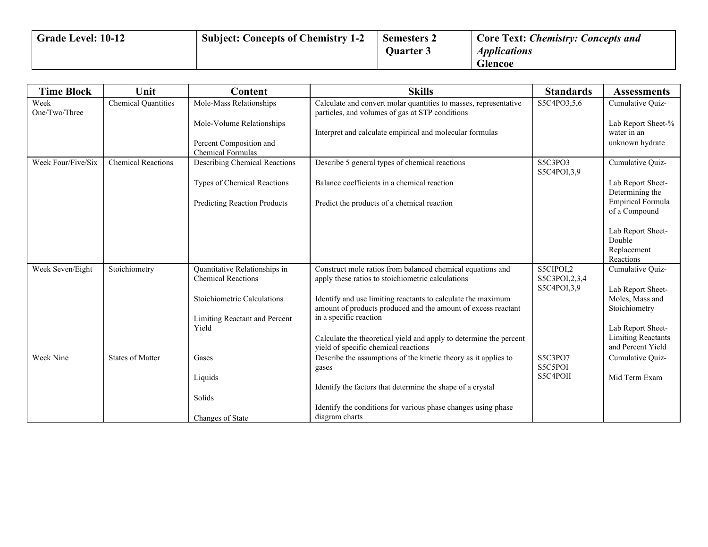| Grade Level: 10-12 | <b>Subject: Concepts of Chemistry 1-2</b> | <b>Semesters 2</b> | <b>Core Text: Chemistry: Concepts and</b> |
|--------------------|-------------------------------------------|--------------------|-------------------------------------------|
|                    |                                           | <b>Ouarter 3</b>   | <i><b>Applications</b></i>                |
|                    |                                           |                    | <b>Glencoe</b>                            |

| <b>Time Block</b>     | Unit                       | Content                                                    | <b>Skills</b>                                                                                                                 | <b>Standards</b>                             | <b>Assessments</b>                                      |
|-----------------------|----------------------------|------------------------------------------------------------|-------------------------------------------------------------------------------------------------------------------------------|----------------------------------------------|---------------------------------------------------------|
| Week<br>One/Two/Three | <b>Chemical Quantities</b> | Mole-Mass Relationships                                    | Calculate and convert molar quantities to masses, representative<br>particles, and volumes of gas at STP conditions           | S5C4PO3,5,6                                  | Cumulative Quiz-                                        |
|                       |                            | Mole-Volume Relationships                                  | Interpret and calculate empirical and molecular formulas                                                                      |                                              | Lab Report Sheet-%<br>water in an                       |
|                       |                            | Percent Composition and<br><b>Chemical Formulas</b>        |                                                                                                                               |                                              | unknown hydrate                                         |
| Week Four/Five/Six    | <b>Chemical Reactions</b>  | Describing Chemical Reactions                              | Describe 5 general types of chemical reactions                                                                                | S5C3PO3<br>S5C4POI,3,9                       | Cumulative Quiz-                                        |
|                       |                            | Types of Chemical Reactions                                | Balance coefficients in a chemical reaction                                                                                   |                                              | Lab Report Sheet-<br>Determining the                    |
|                       |                            | <b>Predicting Reaction Products</b>                        | Predict the products of a chemical reaction                                                                                   |                                              | Empirical Formula<br>of a Compound                      |
|                       |                            |                                                            |                                                                                                                               |                                              | Lab Report Sheet-<br>Double<br>Replacement<br>Reactions |
| Week Seven/Eight      | Stoichiometry              | Quantitative Relationships in<br><b>Chemical Reactions</b> | Construct mole ratios from balanced chemical equations and<br>apply these ratios to stoichiometric calculations               | S5CIPOI,2<br>S5C3POI, 2, 3, 4<br>S5C4POI,3,9 | Cumulative Quiz-<br>Lab Report Sheet-                   |
|                       |                            | <b>Stoichiometric Calculations</b>                         | Identify and use limiting reactants to calculate the maximum<br>amount of products produced and the amount of excess reactant |                                              | Moles, Mass and<br>Stoichiometry                        |
|                       |                            | Limiting Reactant and Percent<br>Yield                     | in a specific reaction                                                                                                        |                                              | Lab Report Sheet-                                       |
|                       |                            |                                                            | Calculate the theoretical yield and apply to determine the percent<br>yield of specific chemical reactions                    |                                              | <b>Limiting Reactants</b><br>and Percent Yield          |
| Week Nine             | <b>States of Matter</b>    | Gases                                                      | Describe the assumptions of the kinetic theory as it applies to<br>gases                                                      | S5C3PO7<br>S5C5POI                           | Cumulative Quiz-                                        |
|                       |                            | Liquids                                                    |                                                                                                                               | S5C4POII                                     | Mid Term Exam                                           |
|                       |                            |                                                            | Identify the factors that determine the shape of a crystal                                                                    |                                              |                                                         |
|                       |                            | Solids                                                     | Identify the conditions for various phase changes using phase                                                                 |                                              |                                                         |
|                       |                            | Changes of State                                           | diagram charts                                                                                                                |                                              |                                                         |